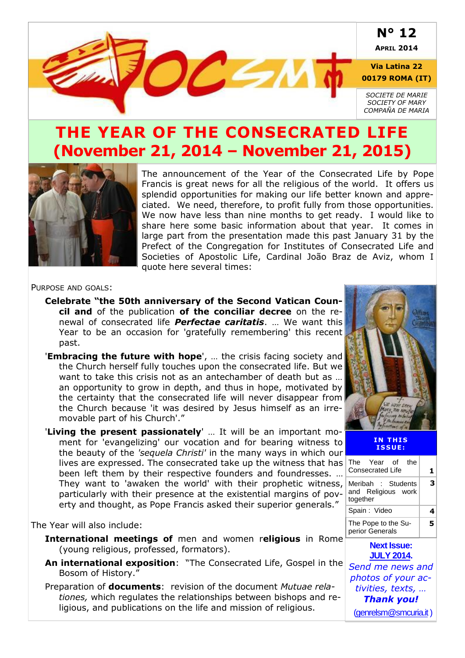

## **THE YEAR OF THE CONSECRATED LIFE (November 21, 2014 – November 21, 2015)**



The announcement of the Year of the Consecrated Life by Pope Francis is great news for all the religious of the world. It offers us splendid opportunities for making our life better known and appreciated. We need, therefore, to profit fully from those opportunities. We now have less than nine months to get ready. I would like to share here some basic information about that year. It comes in large part from the presentation made this past January 31 by the Prefect of the Congregation for Institutes of Consecrated Life and Societies of Apostolic Life, Cardinal João Braz de Aviz, whom I quote here several times:

#### PURPOSE AND GOALS:

- **Celebrate "the 50th anniversary of the Second Vatican Council and** of the publication **of the conciliar decree** on the renewal of consecrated life *Perfectae caritatis*. … We want this Year to be an occasion for 'gratefully remembering' this recent past.
- '**Embracing the future with hope**', … the crisis facing society and the Church herself fully touches upon the consecrated life. But we want to take this crisis not as an antechamber of death but as … an opportunity to grow in depth, and thus in hope, motivated by the certainty that the consecrated life will never disappear from the Church because 'it was desired by Jesus himself as an irremovable part of his Church'."
- '**Living the present passionately**' … It will be an important moment for 'evangelizing' our vocation and for bearing witness to the beauty of the *'sequela Christi'* in the many ways in which our lives are expressed. The consecrated take up the witness that has been left them by their respective founders and foundresses. … They want to 'awaken the world' with their prophetic witness, particularly with their presence at the existential margins of poverty and thought, as Pope Francis asked their superior generals."

#### The Year will also include:

- **International meetings of** men and women r**eligious** in Rome (young religious, professed, formators).
- **An international exposition**: "The Consecrated Life, Gospel in the Bosom of History."
- Preparation of **documents**: revision of the document *Mutuae relationes,* which regulates the relationships between bishops and religious, and publications on the life and mission of religious.



#### **IN THIS I S S UE :**

| The Year of the<br><b>Consecrated Life</b>           | 1 |
|------------------------------------------------------|---|
| Meribah : Students<br>and Religious work<br>together | 3 |
| Spain: Video                                         | 4 |
| The Pope to the Su-<br>perior Generals               | 5 |
| <b>Next Issue:</b><br><b>JULY 2014.</b>              |   |
| Send me news and                                     |   |
| photos of your ac-                                   |   |
| tivities, texts,                                     |   |
| <b>Thank you!</b>                                    |   |
| (genrelsm@smcuria.it)                                |   |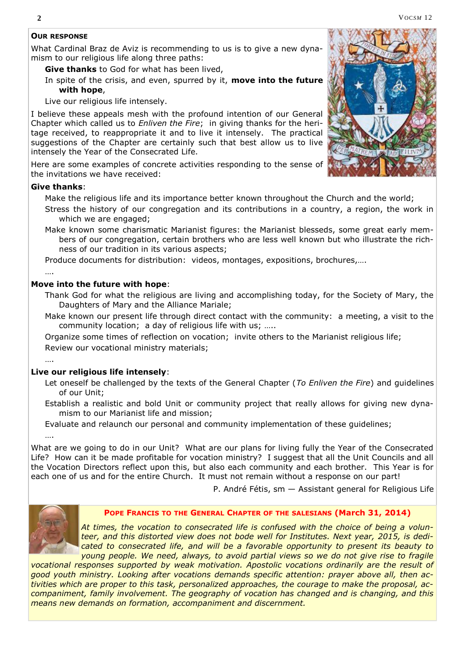#### **OUR RESPONSE**

What Cardinal Braz de Aviz is recommending to us is to give a new dynamism to our religious life along three paths:

**Give thanks** to God for what has been lived,

In spite of the crisis, and even, spurred by it, **move into the future with hope**,

Live our religious life intensely.

I believe these appeals mesh with the profound intention of our General Chapter which called us to *Enliven the Fire*; in giving thanks for the heritage received, to reappropriate it and to live it intensely. The practical suggestions of the Chapter are certainly such that best allow us to live intensely the Year of the Consecrated Life.

Here are some examples of concrete activities responding to the sense of the invitations we have received:

#### **Give thanks**:

Make the religious life and its importance better known throughout the Church and the world;

- Stress the history of our congregation and its contributions in a country, a region, the work in which we are engaged:
- Make known some charismatic Marianist figures: the Marianist blesseds, some great early members of our congregation, certain brothers who are less well known but who illustrate the richness of our tradition in its various aspects;

Produce documents for distribution: videos, montages, expositions, brochures,….

#### **Move into the future with hope**:

Thank God for what the religious are living and accomplishing today, for the Society of Mary, the Daughters of Mary and the Alliance Mariale;

Make known our present life through direct contact with the community: a meeting, a visit to the community location; a day of religious life with us; …..

Organize some times of reflection on vocation; invite others to the Marianist religious life;

Review our vocational ministry materials;

….

….

….

#### **Live our religious life intensely**:

- Let oneself be challenged by the texts of the General Chapter (*To Enliven the Fire*) and guidelines of our Unit;
- Establish a realistic and bold Unit or community project that really allows for giving new dynamism to our Marianist life and mission;
- Evaluate and relaunch our personal and community implementation of these guidelines;

What are we going to do in our Unit? What are our plans for living fully the Year of the Consecrated Life? How can it be made profitable for vocation ministry? I suggest that all the Unit Councils and all the Vocation Directors reflect upon this, but also each community and each brother. This Year is for each one of us and for the entire Church. It must not remain without a response on our part!

P. André Fétis, sm — Assistant general for Religious Life



#### **POPE FRANCIS TO THE GENERAL CHAPTER OF THE SALESIANS (March 31, 2014)**

*At times, the vocation to consecrated life is confused with the choice of being a volunteer, and this distorted view does not bode well for Institutes. Next year, 2015, is dedicated to consecrated life, and will be a favorable opportunity to present its beauty to young people. We need, always, to avoid partial views so we do not give rise to fragile* 

*vocational responses supported by weak motivation. Apostolic vocations ordinarily are the result of good youth ministry. Looking after vocations demands specific attention: prayer above all, then activities which are proper to this task, personalized approaches, the courage to make the proposal, accompaniment, family involvement. The geography of vocation has changed and is changing, and this means new demands on formation, accompaniment and discernment.*

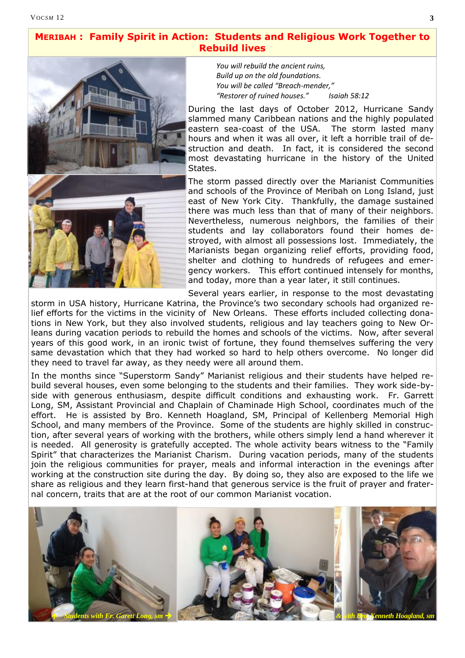### **MERIBAH : Family Spirit in Action: Students and Religious Work Together to Rebuild lives**



*You will rebuild the ancient ruins, Build up on the old foundations. You will be called "Breach-mender," "Restorer of ruined houses." Isaiah 58:12*

During the last days of October 2012, Hurricane Sandy slammed many Caribbean nations and the highly populated eastern sea-coast of the USA. The storm lasted many hours and when it was all over, it left a horrible trail of destruction and death. In fact, it is considered the second most devastating hurricane in the history of the United States.

The storm passed directly over the Marianist Communities and schools of the Province of Meribah on Long Island, just east of New York City. Thankfully, the damage sustained there was much less than that of many of their neighbors. Nevertheless, numerous neighbors, the families of their students and lay collaborators found their homes destroyed, with almost all possessions lost. Immediately, the Marianists began organizing relief efforts, providing food, shelter and clothing to hundreds of refugees and emergency workers. This effort continued intensely for months, and today, more than a year later, it still continues.

Several years earlier, in response to the most devastating

storm in USA history, Hurricane Katrina, the Province's two secondary schools had organized relief efforts for the victims in the vicinity of New Orleans. These efforts included collecting donations in New York, but they also involved students, religious and lay teachers going to New Orleans during vacation periods to rebuild the homes and schools of the victims. Now, after several years of this good work, in an ironic twist of fortune, they found themselves suffering the very same devastation which that they had worked so hard to help others overcome. No longer did they need to travel far away, as they needy were all around them.

In the months since "Superstorm Sandy" Marianist religious and their students have helped rebuild several houses, even some belonging to the students and their families. They work side-byside with generous enthusiasm, despite difficult conditions and exhausting work. Fr. Garrett Long, SM, Assistant Provincial and Chaplain of Chaminade High School, coordinates much of the effort. He is assisted by Bro. Kenneth Hoagland, SM, Principal of Kellenberg Memorial High School, and many members of the Province. Some of the students are highly skilled in construction, after several years of working with the brothers, while others simply lend a hand wherever it is needed. All generosity is gratefully accepted. The whole activity bears witness to the "Family Spirit" that characterizes the Marianist Charism. During vacation periods, many of the students join the religious communities for prayer, meals and informal interaction in the evenings after working at the construction site during the day. By doing so, they also are exposed to the life we share as religious and they learn first-hand that generous service is the fruit of prayer and fraternal concern, traits that are at the root of our common Marianist vocation.

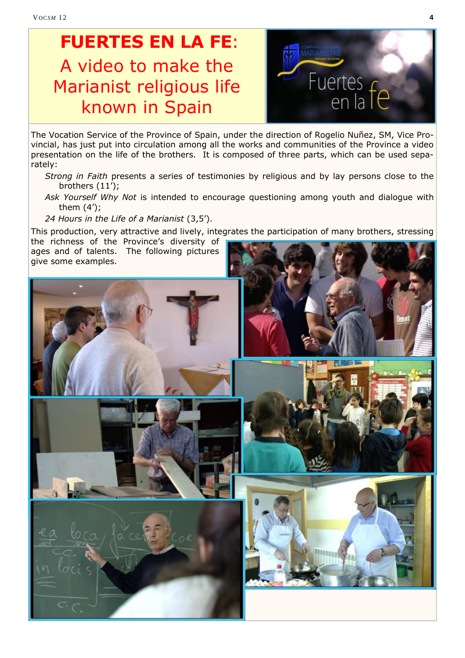# **FUERTES EN LA FE**: A video to make the Marianist religious life known in Spain



The Vocation Service of the Province of Spain, under the direction of Rogelio Nuñez, SM, Vice Provincial, has just put into circulation among all the works and communities of the Province a video presentation on the life of the brothers. It is composed of three parts, which can be used separately:

- *Strong in Faith* presents a series of testimonies by religious and by lay persons close to the brothers (11');
- *Ask Yourself Why Not* is intended to encourage questioning among youth and dialogue with them (4');

*24 Hours in the Life of a Marianist* (3,5').

This production, very attractive and lively, integrates the participation of many brothers, stressing the richness of the Province's diversity of

ages and of talents. The following pictures